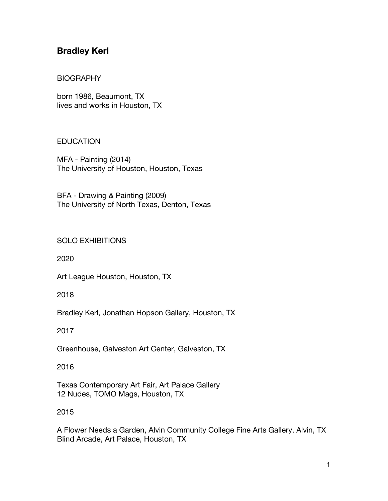# **Bradley Kerl**

#### BIOGRAPHY

born 1986, Beaumont, TX lives and works in Houston, TX

### EDUCATION

MFA - Painting (2014) The University of Houston, Houston, Texas

BFA - Drawing & Painting (2009) The University of North Texas, Denton, Texas

### SOLO EXHIBITIONS

2020

Art League Houston, Houston, TX

2018

Bradley Kerl, Jonathan Hopson Gallery, Houston, TX

2017

Greenhouse, Galveston Art Center, Galveston, TX

2016

Texas Contemporary Art Fair, Art Palace Gallery 12 Nudes, TOMO Mags, Houston, TX

#### 2015

A Flower Needs a Garden, Alvin Community College Fine Arts Gallery, Alvin, TX Blind Arcade, Art Palace, Houston, TX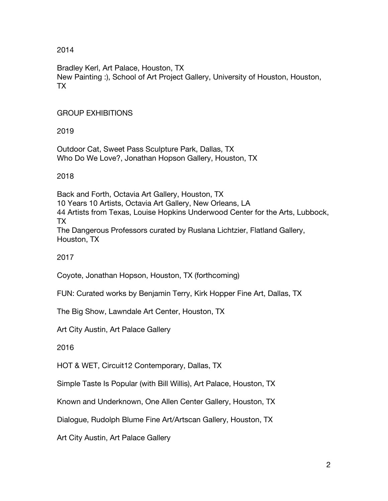Bradley Kerl, Art Palace, Houston, TX New Painting :), School of Art Project Gallery, University of Houston, Houston, TX

# GROUP EXHIBITIONS

2019

Outdoor Cat, Sweet Pass Sculpture Park, Dallas, TX Who Do We Love?, Jonathan Hopson Gallery, Houston, TX

2018

Back and Forth, Octavia Art Gallery, Houston, TX 10 Years 10 Artists, Octavia Art Gallery, New Orleans, LA 44 Artists from Texas, Louise Hopkins Underwood Center for the Arts, Lubbock, TX The Dangerous Professors curated by Ruslana Lichtzier, Flatland Gallery, Houston, TX

2017

Coyote, Jonathan Hopson, Houston, TX (forthcoming)

FUN: Curated works by Benjamin Terry, Kirk Hopper Fine Art, Dallas, TX

The Big Show, Lawndale Art Center, Houston, TX

Art City Austin, Art Palace Gallery

2016

HOT & WET, Circuit12 Contemporary, Dallas, TX

Simple Taste Is Popular (with Bill Willis), Art Palace, Houston, TX

Known and Underknown, One Allen Center Gallery, Houston, TX

Dialogue, Rudolph Blume Fine Art/Artscan Gallery, Houston, TX

Art City Austin, Art Palace Gallery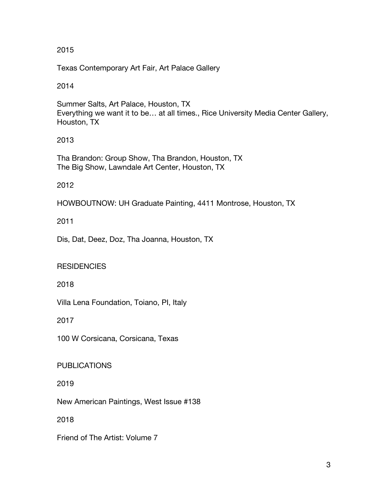Texas Contemporary Art Fair, Art Palace Gallery

## 2014

Summer Salts, Art Palace, Houston, TX Everything we want it to be… at all times., Rice University Media Center Gallery, Houston, TX

# 2013

Tha Brandon: Group Show, Tha Brandon, Houston, TX The Big Show, Lawndale Art Center, Houston, TX

# 2012

HOWBOUTNOW: UH Graduate Painting, 4411 Montrose, Houston, TX

# 2011

Dis, Dat, Deez, Doz, Tha Joanna, Houston, TX

# **RESIDENCIES**

2018

Villa Lena Foundation, Toiano, PI, Italy

2017

100 W Corsicana, Corsicana, Texas

PUBLICATIONS

2019

New American Paintings, West Issue #138

2018

Friend of The Artist: Volume 7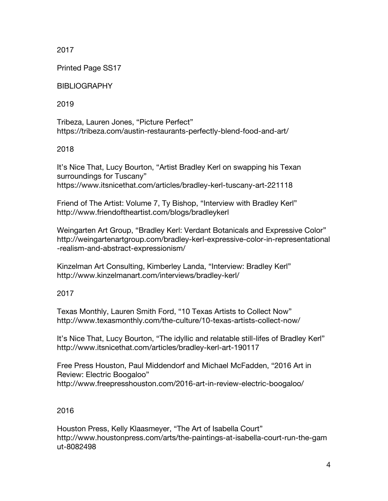Printed Page SS17

BIBLIOGRAPHY

2019

Tribeza, Lauren Jones, "Picture Perfect" https://tribeza.com/austin-restaurants-perfectly-blend-food-and-art/

2018

It's Nice That, Lucy Bourton, "Artist Bradley Kerl on swapping his Texan surroundings for Tuscany" https://www.itsnicethat.com/articles/bradley-kerl-tuscany-art-221118

Friend of The Artist: Volume 7, Ty Bishop, "Interview with Bradley Kerl" http://www.friendoftheartist.com/blogs/bradleykerl

Weingarten Art Group, "Bradley Kerl: Verdant Botanicals and Expressive Color" http://weingartenartgroup.com/bradley-kerl-expressive-color-in-representational -realism-and-abstract-expressionism/

Kinzelman Art Consulting, Kimberley Landa, "Interview: Bradley Kerl" http://www.kinzelmanart.com/interviews/bradley-kerl/

2017

Texas Monthly, Lauren Smith Ford, "10 Texas Artists to Collect Now" http://www.texasmonthly.com/the-culture/10-texas-artists-collect-now/

It's Nice That, Lucy Bourton, "The idyllic and relatable still-lifes of Bradley Kerl" http://www.itsnicethat.com/articles/bradley-kerl-art-190117

Free Press Houston, Paul Middendorf and Michael McFadden, "2016 Art in Review: Electric Boogaloo" http://www.freepresshouston.com/2016-art-in-review-electric-boogaloo/

## 2016

Houston Press, Kelly Klaasmeyer, "The Art of Isabella Court" http://www.houstonpress.com/arts/the-paintings-at-isabella-court-run-the-gam ut-8082498